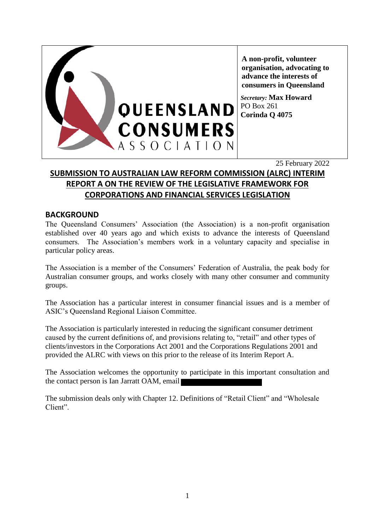

**A non-profit, volunteer organisation, advocating to advance the interests of consumers in Queensland**

*Secretary:* **Max Howard** PO Box 261 **Corinda Q 4075**

25 February 2022

# **SUBMISSION TO AUSTRALIAN LAW REFORM COMMISSION (ALRC) INTERIM REPORT A ON THE REVIEW OF THE LEGISLATIVE FRAMEWORK FOR CORPORATIONS AND FINANCIAL SERVICES LEGISLATION**

## **BACKGROUND**

The Queensland Consumers' Association (the Association) is a non-profit organisation established over 40 years ago and which exists to advance the interests of Queensland consumers. The Association's members work in a voluntary capacity and specialise in particular policy areas.

The Association is a member of the Consumers' Federation of Australia, the peak body for Australian consumer groups, and works closely with many other consumer and community groups.

The Association has a particular interest in consumer financial issues and is a member of ASIC's Queensland Regional Liaison Committee.

The Association is particularly interested in reducing the significant consumer detriment caused by the current definitions of, and provisions relating to, "retail" and other types of clients/investors in the Corporations Act 2001 and the Corporations Regulations 2001 and provided the ALRC with views on this prior to the release of its Interim Report A.

The Association welcomes the opportunity to participate in this important consultation and the contact person is Ian Jarratt OAM, email

The submission deals only with Chapter 12. Definitions of "Retail Client" and "Wholesale Client".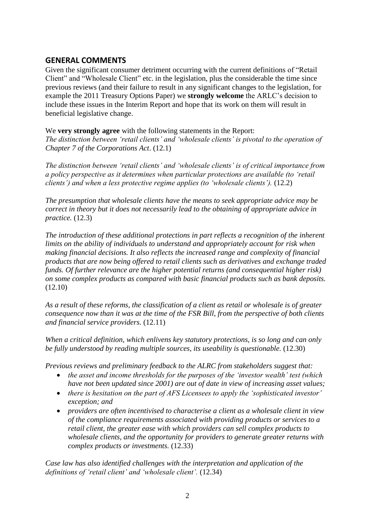## **GENERAL COMMENTS**

Given the significant consumer detriment occurring with the current definitions of "Retail Client" and "Wholesale Client" etc. in the legislation, plus the considerable the time since previous reviews (and their failure to result in any significant changes to the legislation, for example the 2011 Treasury Options Paper) we **strongly welcome** the ARLC's decision to include these issues in the Interim Report and hope that its work on them will result in beneficial legislative change.

We **very strongly agree** with the following statements in the Report: *The distinction between 'retail clients' and 'wholesale clients' is pivotal to the operation of Chapter 7 of the Corporations Act*. (12.1)

*The distinction between 'retail clients' and 'wholesale clients' is of critical importance from a policy perspective as it determines when particular protections are available (to 'retail clients') and when a less protective regime applies (to 'wholesale clients').* (12.2)

*The presumption that wholesale clients have the means to seek appropriate advice may be correct in theory but it does not necessarily lead to the obtaining of appropriate advice in practice.* (12.3)

*The introduction of these additional protections in part reflects a recognition of the inherent limits on the ability of individuals to understand and appropriately account for risk when making financial decisions. It also reflects the increased range and complexity of financial products that are now being offered to retail clients such as derivatives and exchange traded funds. Of further relevance are the higher potential returns (and consequential higher risk) on some complex products as compared with basic financial products such as bank deposits.* (12.10)

*As a result of these reforms, the classification of a client as retail or wholesale is of greater consequence now than it was at the time of the FSR Bill, from the perspective of both clients and financial service providers.* (12.11)

*When a critical definition, which enlivens key statutory protections, is so long and can only be fully understood by reading multiple sources, its useability is questionable.* (12.30)

*Previous reviews and preliminary feedback to the ALRC from stakeholders suggest that:* 

- *the asset and income thresholds for the purposes of the 'investor wealth' test (which have not been updated since 2001) are out of date in view of increasing asset values;*
- *there is hesitation on the part of AFS Licensees to apply the 'sophisticated investor' exception; and*
- *providers are often incentivised to characterise a client as a wholesale client in view of the compliance requirements associated with providing products or services to a retail client, the greater ease with which providers can sell complex products to wholesale clients, and the opportunity for providers to generate greater returns with complex products or investments.* (12.33)

*Case law has also identified challenges with the interpretation and application of the definitions of 'retail client' and 'wholesale client'.* (12.34)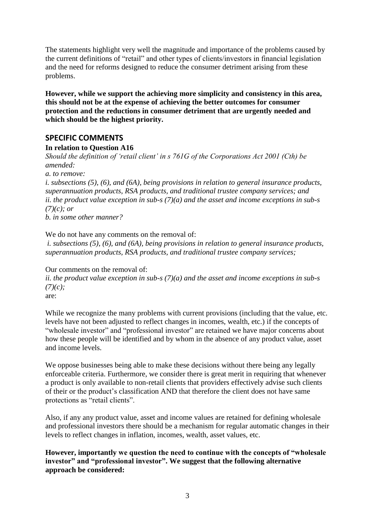The statements highlight very well the magnitude and importance of the problems caused by the current definitions of "retail" and other types of clients/investors in financial legislation and the need for reforms designed to reduce the consumer detriment arising from these problems.

**However, while we support the achieving more simplicity and consistency in this area, this should not be at the expense of achieving the better outcomes for consumer protection and the reductions in consumer detriment that are urgently needed and which should be the highest priority.**

## **SPECIFIC COMMENTS**

#### **In relation to Question A16**

*Should the definition of 'retail client' in s 761G of the Corporations Act 2001 (Cth) be amended:* 

*a. to remove:* 

*i. subsections (5), (6), and (6A), being provisions in relation to general insurance products, superannuation products, RSA products, and traditional trustee company services; and ii. the product value exception in sub-s (7)(a) and the asset and income exceptions in sub-s (7)(c); or*

*b. in some other manner?*

We do not have any comments on the removal of:

*i. subsections (5), (6), and (6A), being provisions in relation to general insurance products, superannuation products, RSA products, and traditional trustee company services;*

Our comments on the removal of: *ii. the product value exception in sub-s (7)(a) and the asset and income exceptions in sub-s (7)(c);* are:

While we recognize the many problems with current provisions (including that the value, etc. levels have not been adjusted to reflect changes in incomes, wealth, etc.) if the concepts of "wholesale investor" and "professional investor" are retained we have major concerns about how these people will be identified and by whom in the absence of any product value, asset and income levels.

We oppose businesses being able to make these decisions without there being any legally enforceable criteria. Furthermore, we consider there is great merit in requiring that whenever a product is only available to non-retail clients that providers effectively advise such clients of their or the product's classification AND that therefore the client does not have same protections as "retail clients".

Also, if any any product value, asset and income values are retained for defining wholesale and professional investors there should be a mechanism for regular automatic changes in their levels to reflect changes in inflation, incomes, wealth, asset values, etc.

**However, importantly we question the need to continue with the concepts of "wholesale investor" and "professional investor". We suggest that the following alternative approach be considered:**